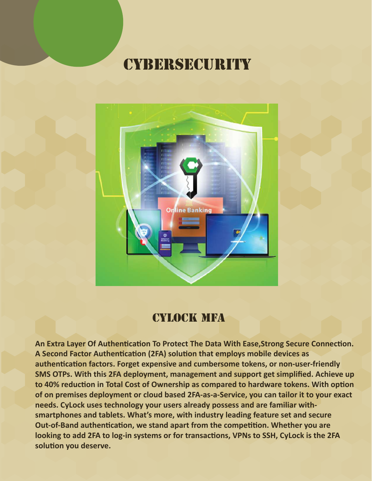

### cylock MFA

An Extra Layer Of Authentication To Protect The Data With Ease, Strong Secure Connection. A Second Factor Authentication (2FA) solution that employs mobile devices as authentication factors. Forget expensive and cumbersome tokens, or non-user-friendly **SMS OTPs. With this 2FA deployment, management and support get simplified. Achieve up** to 40% reduction in Total Cost of Ownership as compared to hardware tokens. With option **of on premises deployment or cloud based 2FA-as-a-Service, you can tailor it to your exact needs. CyLock uses technology your users already possess and are familiar withsmartphones and tablets. What's more, with industry leading feature set and secure Out-of-Band authentication, we stand apart from the competition. Whether you are** looking to add 2FA to log-in systems or for transactions, VPNs to SSH, CyLock is the 2FA solution you deserve.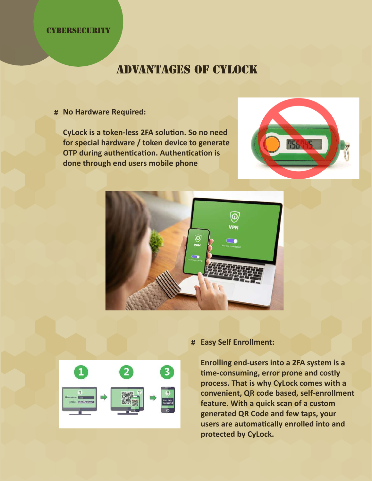## advantages of Cylock

**No Hardware Required: #**

**CyLock is a token-less 2FA solution. So no need for special hardware / token device to generate OTP during authentication. Authentication is done through end users mobile phone**







### **Easy Self Enrollment: #**

**Enrolling end-users into a 2FA system is a �me-consuming, error prone and costly process. That is why CyLock comes with a convenient, QR code based, self-enrollment feature. With a quick scan of a custom generated QR Code and few taps, your users are automa�cally enrolled into and protected by CyLock.**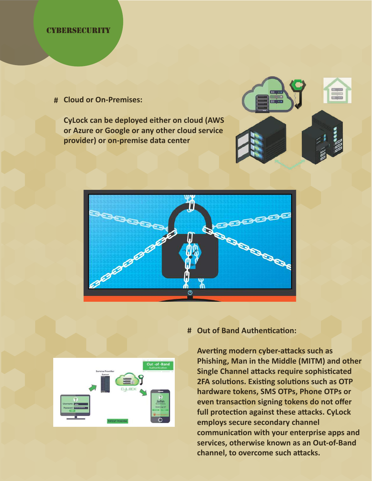**Cloud or On-Premises: #**

**CyLock can be deployed either on cloud (AWS or Azure or Google or any other cloud service provider) or on-premise data center**







#### # Out of Band Authentication:

**Averting modern cyber-attacks such as Phishing, Man in the Middle (MITM) and other Single Channel attacks require sophisticated 2FA solutions. Existing solutions such as OTP hardware tokens, SMS OTPs, Phone OTPs or** even transaction signing tokens do not offer full protection against these attacks. CyLock **employs secure secondary channel** communication with your enterprise apps and **services, otherwise known as an Out-of-Band** channel, to overcome such attacks.